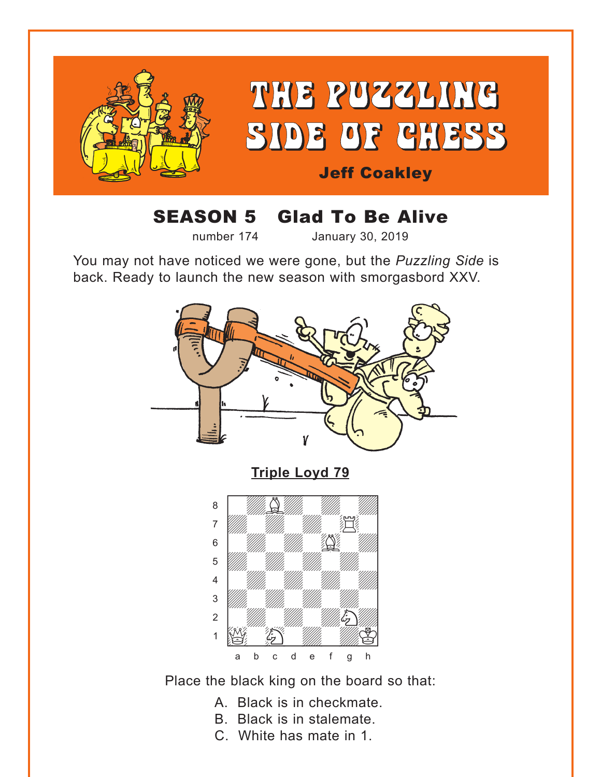<span id="page-0-0"></span>

# SEASON 5 Glad To Be Alive

number 174 January 30, 2019

You may not have noticed we were gone, but the *Puzzling Side* is back. Ready to launch the new season with smorgasbord XXV.



**[Triple Loyd 79](#page-7-0)**



Place the black king on the board so that:

- A. Black is in checkmate.
- B. Black is in stalemate.
- C. White has mate in 1.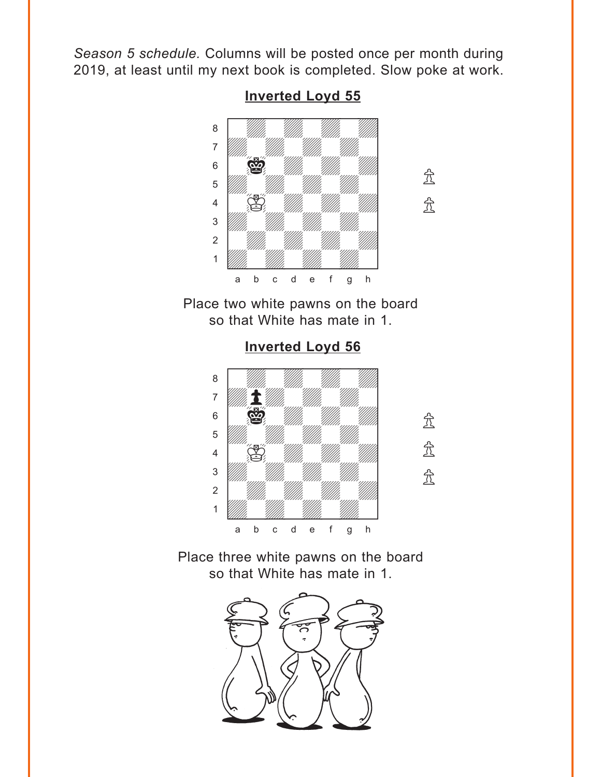<span id="page-1-0"></span>*Season 5 schedule.* Columns will be posted once per month during 2019, at least until my next book is completed. Slow poke at work.



**[Inverted Loyd 55](#page-8-0)**

Place two white pawns on the board so that White has mate in 1.

**[Inverted Loyd 56](#page-8-0)**

where  $\frac{m}{2}$  we have  $\frac{m}{2}$ a ya *mai wa* wakazi wa 1972, wakazi wa 1972, wakazi wa 1972, wakazi wa 1972, wakazi wa 1972, wakazi wa 1972, wa  $\overline{a}$  and  $\overline{a}$  and  $\overline{a}$  and  $\overline{a}$  $\begin{bmatrix} 6 & 2 \end{bmatrix}$ **b** William William William Company and the Company of the Company of the Company of the Company of the Company of the Company of the Company of the Company of the Company of the Company of the Company of the Company of th  $\begin{bmatrix} 4 & 1 \end{bmatrix}$   $\begin{bmatrix} 6 & 1 \end{bmatrix}$  $\frac{1}{\sqrt{2}}$ 2 | *William William William William 1* 1 *Údwarf William William William William William William William William William William William William William W* a b c d e f g h



 $\mathcal{L}$ 

 $\mathbb{\hat{R}}$ 

Place three white pawns on the board so that White has mate in 1.

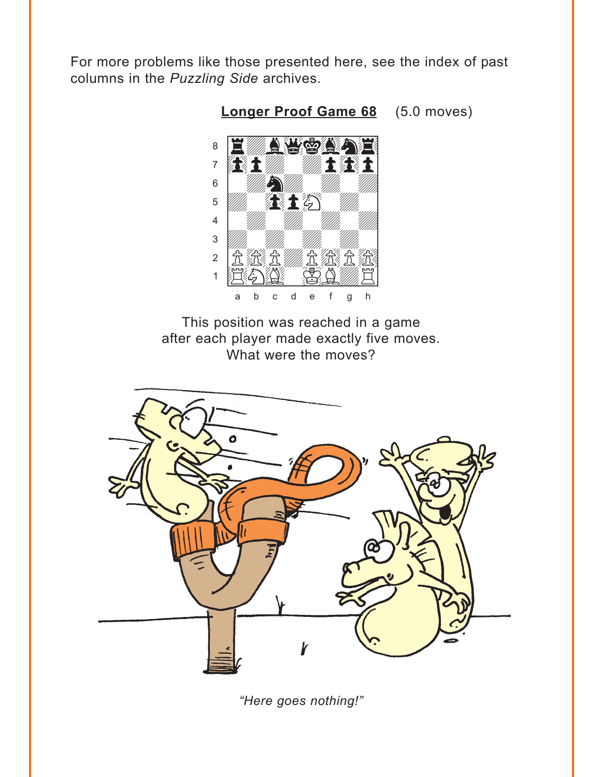<span id="page-2-0"></span>For more problems like those presented here, see the index of past columns in the Puzzling Side archives.



Longer Proof Game 68 (5.0 moves)

This position was reached in a game after each player made exactly five moves. What were the moves?



"Here goes nothing!"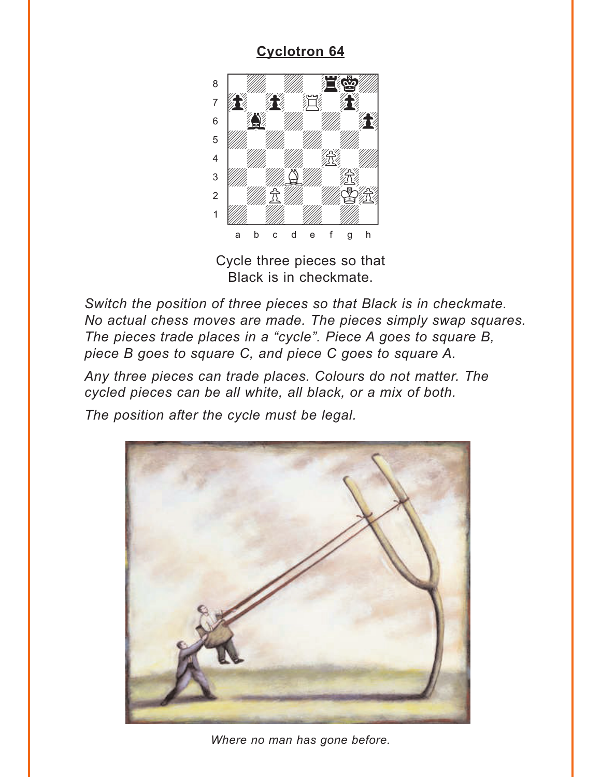# **Cyclotron 64**

<span id="page-3-0"></span>

Cycle three pieces so that Black is in checkmate.

Switch the position of three pieces so that Black is in checkmate. No actual chess moves are made. The pieces simply swap squares. The pieces trade places in a "cycle". Piece A goes to square B, piece B goes to square C, and piece C goes to square A.

Any three pieces can trade places. Colours do not matter. The cycled pieces can be all white, all black, or a mix of both.

The position after the cycle must be legal.



Where no man has gone before.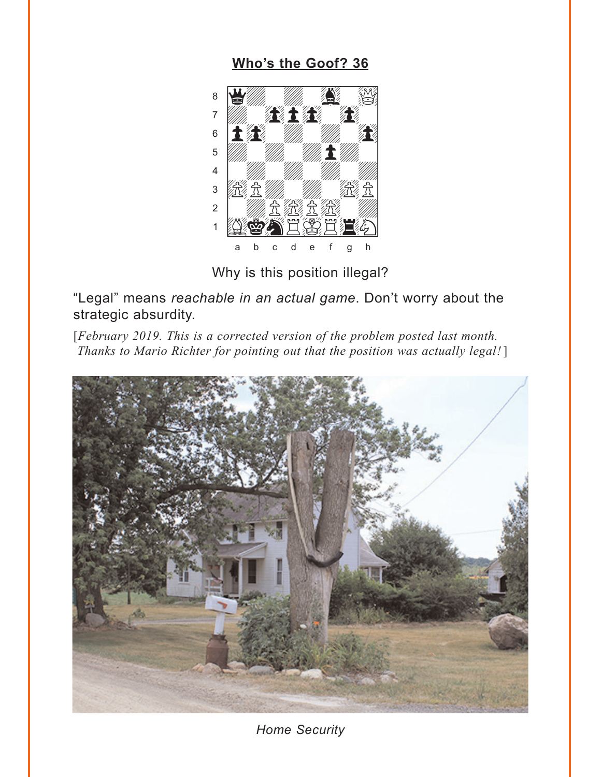## Who's the Goof? 36

<span id="page-4-0"></span>

Why is this position illegal?

"Legal" means reachable in an actual game. Don't worry about the strategic absurdity.

[February 2019. This is a corrected version of the problem posted last month. Thanks to Mario Richter for pointing out that the position was actually legal!]



**Home Security**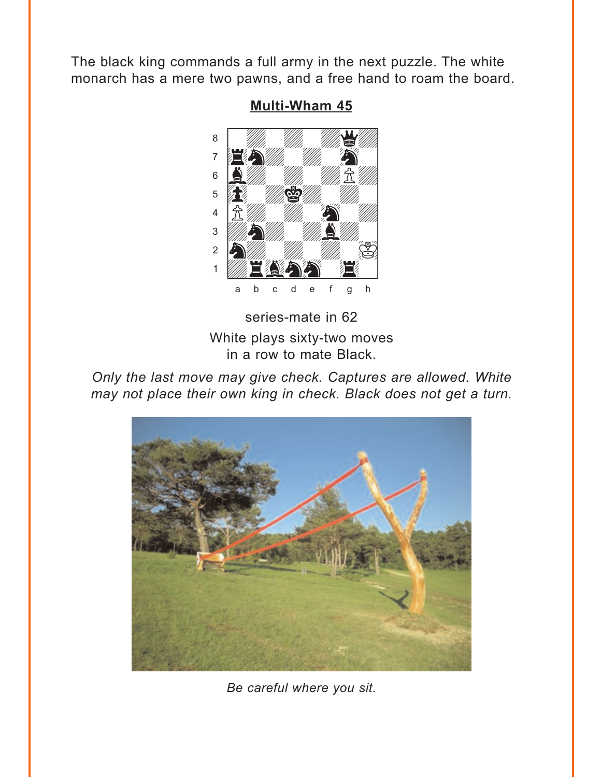<span id="page-5-0"></span>The black king commands a full army in the next puzzle. The white monarch has a mere two pawns, and a free hand to roam the board.



### **Multi-Wham 45**

series-mate in 62 White plays sixty-two moves in a row to mate Black.

Only the last move may give check. Captures are allowed. White may not place their own king in check. Black does not get a turn.



Be careful where you sit.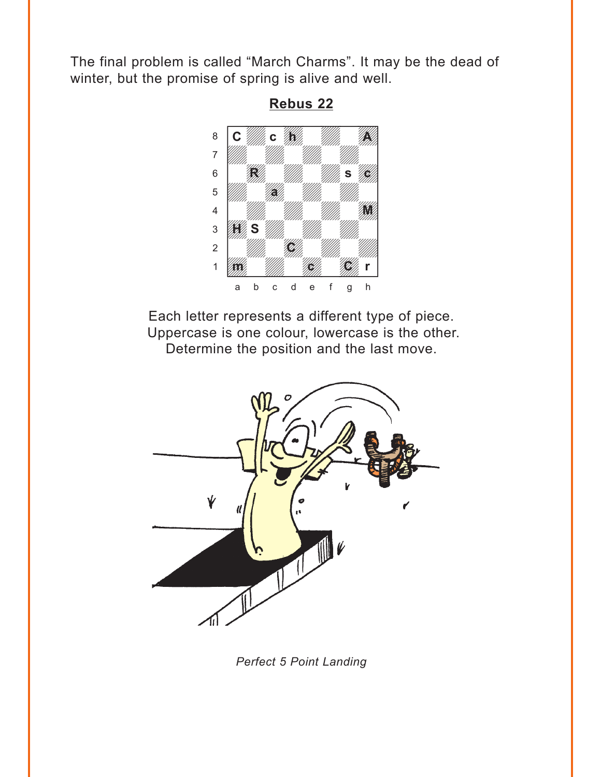<span id="page-6-0"></span>The final problem is called "March Charms". It may be the dead of winter, but the promise of spring is alive and well.



**[Rebus 22](#page-14-0)**

Each letter represents a different type of piece. Uppercase is one colour, lowercase is the other. Determine the position and the last move.



*Perfect 5 Point Landing*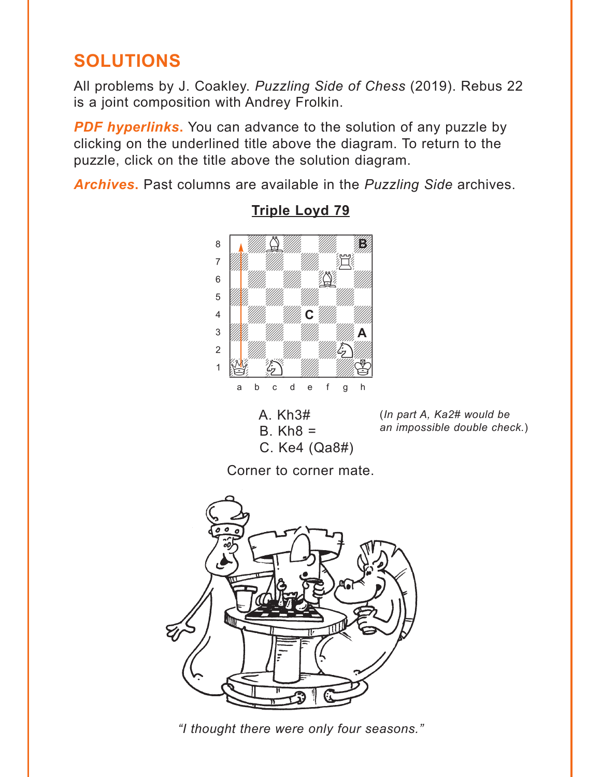# <span id="page-7-0"></span>**SOLUTIONS**

All problems by J. Coakley. *Puzzling Side of Chess* (2019). Rebus 22 is a joint composition with Andrey Frolkin.

**PDF hyperlinks.** You can advance to the solution of any puzzle by clicking on the underlined title above the diagram. To return to the puzzle, click on the title above the solution diagram.

*Archives***.** Past columns are available in the *Puzzling Side* archives.



## **[Triple Loyd 79](#page-0-0)**

(*In part A, Ka2# would be an impossible double check.*)

Corner to corner mate.

C. Ke4 (Qa8#)

 $B.$  Kh $8 =$ 



*"I thought there were only four seasons."*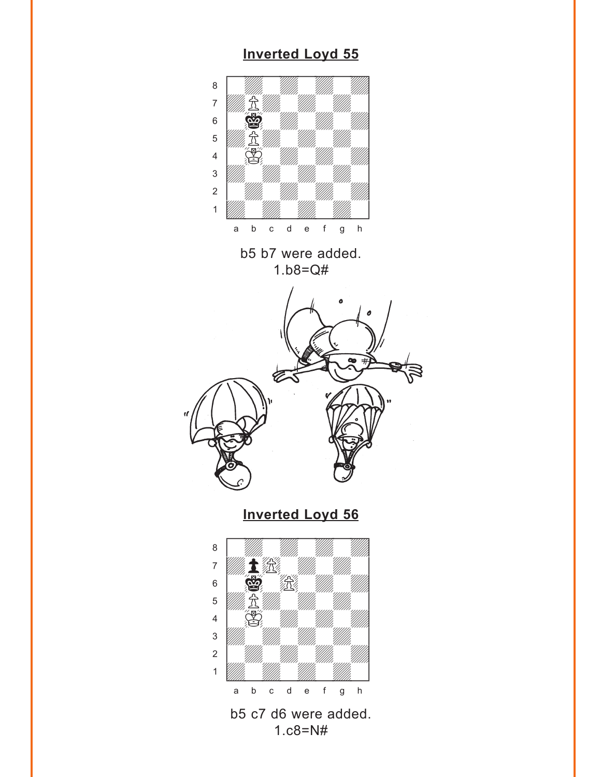<span id="page-8-0"></span>

### **[Inverted Loyd 55](#page-1-0)**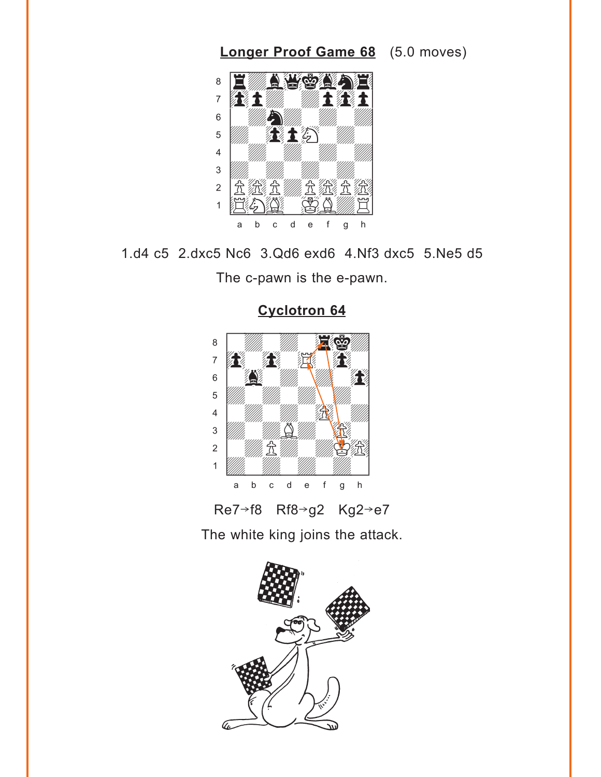<span id="page-9-0"></span>

1.d4 c5 2.dxc5 Nc6 3.Qd6 exd6 4.Nf3 dxc5 5.Ne5 d5

The c-pawn is the e-pawn.



**[Cyclotron 64](#page-3-0)**

Re7→f8 Rf8→g2 Kg2→e7

The white king joins the attack.

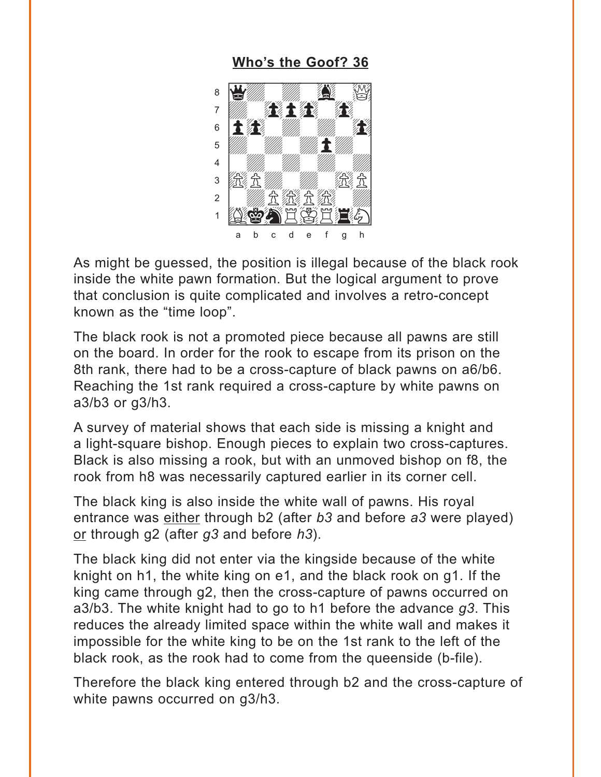### Who's the Goof? 36

<span id="page-10-0"></span>

As might be guessed, the position is illegal because of the black rook inside the white pawn formation. But the logical argument to prove that conclusion is quite complicated and involves a retro-concept known as the "time loop".

The black rook is not a promoted piece because all pawns are still on the board. In order for the rook to escape from its prison on the 8th rank, there had to be a cross-capture of black pawns on a6/b6. Reaching the 1st rank required a cross-capture by white pawns on  $a3/b3$  or  $a3/h3$ .

A survey of material shows that each side is missing a knight and a light-square bishop. Enough pieces to explain two cross-captures. Black is also missing a rook, but with an unmoved bishop on f8, the rook from h8 was necessarily captured earlier in its corner cell.

The black king is also inside the white wall of pawns. His roval entrance was either through b2 (after b3 and before a3 were played) or through  $g2$  (after  $g3$  and before  $h3$ ).

The black king did not enter via the kingside because of the white knight on h1, the white king on e1, and the black rook on g1. If the king came through g2, then the cross-capture of pawns occurred on a3/b3. The white knight had to go to h1 before the advance  $g3$ . This reduces the already limited space within the white wall and makes it impossible for the white king to be on the 1st rank to the left of the black rook, as the rook had to come from the queenside (b-file).

Therefore the black king entered through b2 and the cross-capture of white pawns occurred on g3/h3.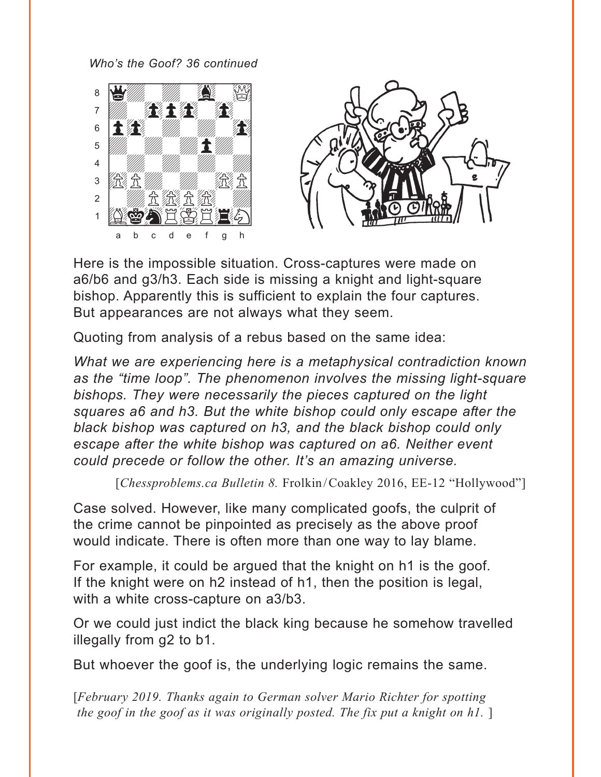*Who's the Goof? 36 continued*





Here is the impossible situation. Cross-captures were made on a6/b6 and g3/h3. Each side is missing a knight and light-square bishop. Apparently this is sufficient to explain the four captures. But appearances are not always what they seem.

Quoting from analysis of a rebus based on the same idea:

*What we are experiencing here is a metaphysical contradiction known as the "time loop". The phenomenon involves the missing light-square bishops. They were necessarily the pieces captured on the light squares a6 and h3. But the white bishop could only escape after the black bishop was captured on h3, and the black bishop could only escape after the white bishop was captured on a6. Neither event could precede or follow the other. It's an amazing universe.*

[*Chessproblems.ca Bulletin 8. Frolkin/Coakley 2016, EE-12 "Hollywood"*]

Case solved. However, like many complicated goofs, the culprit of the crime cannot be pinpointed as precisely as the above proof would indicate. There is often more than one way to lay blame.

For example, it could be argued that the knight on h1 is the goof. If the knight were on h2 instead of h1, then the position is legal, with a white cross-capture on a3/b3.

Or we could just indict the black king because he somehow travelled illegally from g2 to b1.

But whoever the goof is, the underlying logic remains the same.

[*February 2019. Thanks again to German solver Mario Richter for spotting the goof in the goof as it was originally posted. The fix put a knight on h1.* ]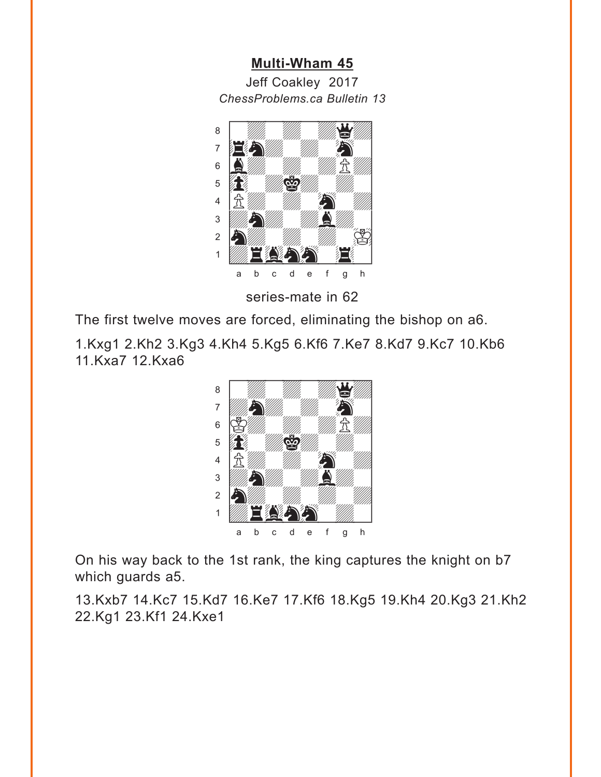#### **[Multi-Wham 45](#page-5-0)**

<span id="page-12-0"></span>Jeff Coakley 2017 *ChessProblems.ca Bulletin 13*



series-mate in 62

The first twelve moves are forced, eliminating the bishop on a6.

1.Kxg1 2.Kh2 3.Kg3 4.Kh4 5.Kg5 6.Kf6 7.Ke7 8.Kd7 9.Kc7 10.Kb6 11.Kxa7 12.Kxa6



On his way back to the 1st rank, the king captures the knight on b7 which guards a5.

13.Kxb7 14.Kc7 15.Kd7 16.Ke7 17.Kf6 18.Kg5 19.Kh4 20.Kg3 21.Kh2 22.Kg1 23.Kf1 24.Kxe1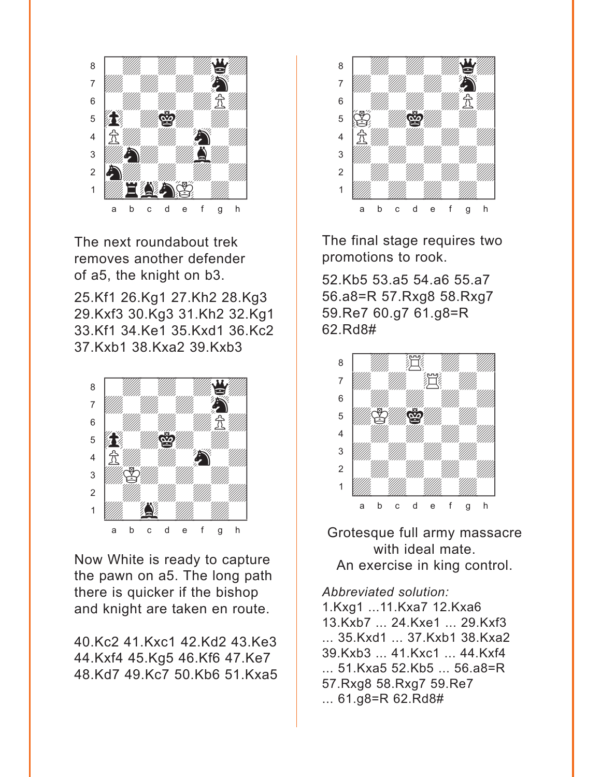

The next roundabout trek removes another defender of a5, the knight on b3.

25.Kf1 26.Kg1 27.Kh2 28.Kg3 29.Kxf3 30.Kg3 31.Kh2 32.Kg1 33.Kf1 34.Ke1 35.Kxd1 36.Kc2 37.Kxb1 38.Kxa2 39.Kxb3



Now White is ready to capture the pawn on a5. The long path there is quicker if the bishop and knight are taken en route.

40.Kc2 41.Kxc1 42.Kd2 43.Ke3 44.Kxf4 45.Kg5 46.Kf6 47.Ke7 48.Kd7 49.Kc7 50.Kb6 51.Kxa5



The final stage requires two promotions to rook.

52.Kb5 53.a5 54.a6 55.a7 56.a8=R 57.Rxg8 58.Rxg7 59.Re7 60.g7 61.g8=R 62.Rd8#



Grotesque full army massacre with ideal mate. An exercise in king control.

#### *Abbreviated solution:*

1.Kxg1 ...11.Kxa7 12.Kxa6 13.Kxb7 ... 24.Kxe1 ... 29.Kxf3 ... 35.Kxd1 ... 37.Kxb1 38.Kxa2 39.Kxb3 ... 41.Kxc1 ... 44.Kxf4 ... 51.Kxa5 52.Kb5 ... 56.a8=R 57.Rxg8 58.Rxg7 59.Re7 ... 61.g8=R 62.Rd8#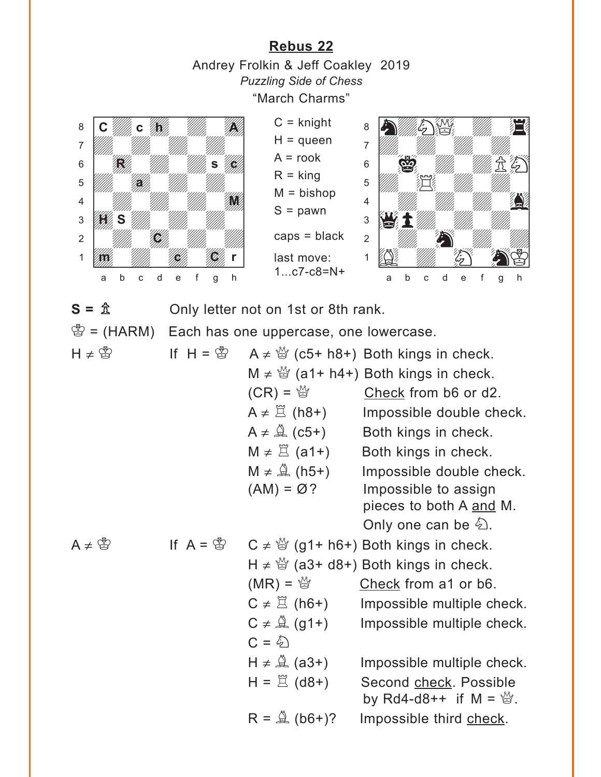**[Rebus 22](#page-6-0)** Andrey Frolkin & Jeff Coakley 2019 *Puzzling Side of Chess* "March Charms"

 $C =$  knight  $H =$ queen  $A = root$  $R =$  king  $M = b$ ishop  $S =$  pawn

caps = black

last move: 1...c7-c8=N+

<span id="page-14-0"></span>



 $S = \hat{\mathbb{A}}$  Only letter not on 1st or 8th rank.

 $\mathscr{B}$  = (HARM) Each has one uppercase, one lowercase.

| $H \neq \circledS$    | If $H = \mathcal{B}$ |                                                  | A $\neq \frac{36}{2}$ (c5+ h8+) Both kings in check.                   |
|-----------------------|----------------------|--------------------------------------------------|------------------------------------------------------------------------|
|                       |                      |                                                  | M $\neq$ $\frac{36}{2}$ (a1+ h4+) Both kings in check.                 |
|                       |                      |                                                  | $(CR) = \frac{M}{Q}$ Check from b6 or d2.                              |
|                       |                      | $A \neq \Xi$ (h8+)                               | Impossible double check.                                               |
|                       |                      | $A \neq \mathcal{Q}$ (c5+)                       | Both kings in check.                                                   |
|                       |                      | $M \neq \Xi$ (a1+)                               | Both kings in check.                                                   |
|                       |                      | $M \neq \overset{\triangle}{\mathfrak{A}}$ (h5+) | Impossible double check.                                               |
|                       |                      | $(AM) = \varnothing$ ?                           | Impossible to assign                                                   |
|                       |                      |                                                  | pieces to both A and M.                                                |
|                       |                      |                                                  | Only one can be $\hat{\mathfrak{D}}$ .                                 |
| $A \neq \bigcircledS$ |                      |                                                  | If $A = \mathbb{S}$ $C \neq \mathbb{S}$ (g1+ h6+) Both kings in check. |
|                       |                      |                                                  | H $\neq \frac{36}{2}$ (a3+ d8+) Both kings in check.                   |
|                       |                      | $(MR) = \frac{M}{Q}$                             | Check from a1 or b6.                                                   |
|                       |                      | $C \neq \mathbb{E}$ (h6+)                        | Impossible multiple check.                                             |
|                       |                      |                                                  | $C \neq \hat{\mathbb{Q}}$ (g1+) Impossible multiple check.             |
|                       |                      | $C = \mathcal{L}$                                |                                                                        |
|                       |                      | $H \neq \mathbb{Q}$ (a3+)                        | Impossible multiple check.                                             |
|                       |                      | $H = \mathbb{E}$ (d8+)                           | Second check. Possible                                                 |
|                       |                      |                                                  | by Rd4-d8++ if M = $\mathbb{Q}$ .                                      |
|                       |                      | $R = \mathbb{Q}$ (b6+)?                          | Impossible third check.                                                |
|                       |                      |                                                  |                                                                        |